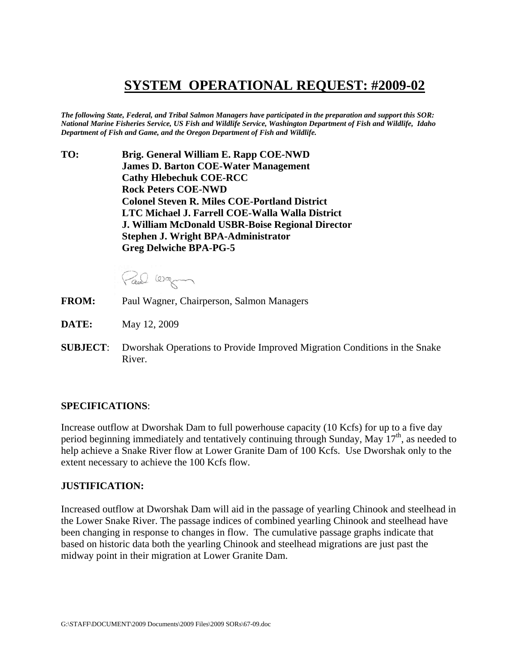## **SYSTEM OPERATIONAL REQUEST: #2009-02**

*The following State, Federal, and Tribal Salmon Managers have participated in the preparation and support this SOR: National Marine Fisheries Service, US Fish and Wildlife Service, Washington Department of Fish and Wildlife, Idaho Department of Fish and Game, and the Oregon Department of Fish and Wildlife.* 

**TO: Brig. General William E. Rapp COE-NWD James D. Barton COE-Water Management Cathy Hlebechuk COE-RCC Rock Peters COE-NWD Colonel Steven R. Miles COE-Portland District LTC Michael J. Farrell COE-Walla Walla District J. William McDonald USBR-Boise Regional Director Stephen J. Wright BPA-Administrator Greg Delwiche BPA-PG-5** 

Paul Warm

- **FROM:** Paul Wagner, Chairperson, Salmon Managers
- **DATE:** May 12, 2009
- **SUBJECT**: Dworshak Operations to Provide Improved Migration Conditions in the Snake River.

## **SPECIFICATIONS**:

Increase outflow at Dworshak Dam to full powerhouse capacity (10 Kcfs) for up to a five day period beginning immediately and tentatively continuing through Sunday, May  $17<sup>th</sup>$ , as needed to help achieve a Snake River flow at Lower Granite Dam of 100 Kcfs. Use Dworshak only to the extent necessary to achieve the 100 Kcfs flow.

## **JUSTIFICATION:**

Increased outflow at Dworshak Dam will aid in the passage of yearling Chinook and steelhead in the Lower Snake River. The passage indices of combined yearling Chinook and steelhead have been changing in response to changes in flow. The cumulative passage graphs indicate that based on historic data both the yearling Chinook and steelhead migrations are just past the midway point in their migration at Lower Granite Dam.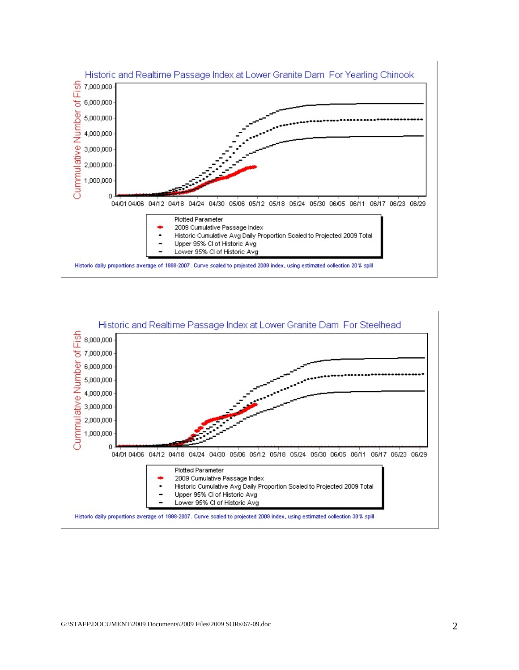

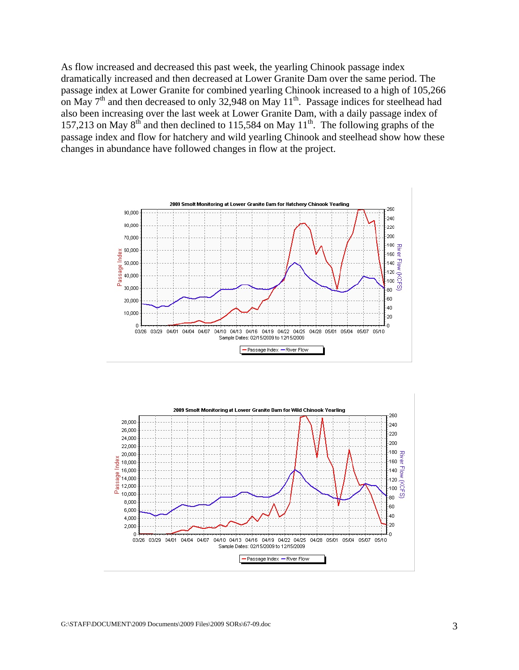As flow increased and decreased this past week, the yearling Chinook passage index dramatically increased and then decreased at Lower Granite Dam over the same period. The passage index at Lower Granite for combined yearling Chinook increased to a high of 105,266 on May  $7<sup>th</sup>$  and then decreased to only 32,948 on May  $11<sup>th</sup>$ . Passage indices for steelhead had also been increasing over the last week at Lower Granite Dam, with a daily passage index of 157,213 on May  $8<sup>th</sup>$  and then declined to 115,584 on May  $11<sup>th</sup>$ . The following graphs of the passage index and flow for hatchery and wild yearling Chinook and steelhead show how these changes in abundance have followed changes in flow at the project.